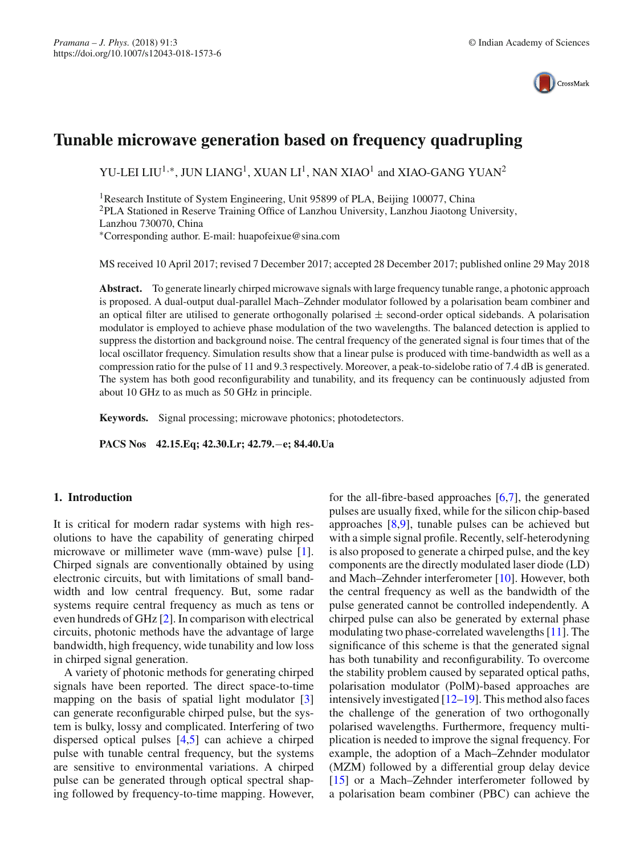

# **Tunable microwave generation based on frequency quadrupling**

YU-LEI LIU<sup>1,∗</sup>, JUN LIANG<sup>1</sup>, XUAN LI<sup>1</sup>, NAN XIAO<sup>1</sup> and XIAO-GANG YUAN<sup>2</sup>

1Research Institute of System Engineering, Unit 95899 of PLA, Beijing 100077, China 2PLA Stationed in Reserve Training Office of Lanzhou University, Lanzhou Jiaotong University, Lanzhou 730070, China ∗Corresponding author. E-mail: huapofeixue@sina.com

MS received 10 April 2017; revised 7 December 2017; accepted 28 December 2017; published online 29 May 2018

**Abstract.** To generate linearly chirped microwave signals with large frequency tunable range, a photonic approach is proposed. A dual-output dual-parallel Mach–Zehnder modulator followed by a polarisation beam combiner and an optical filter are utilised to generate orthogonally polarised  $\pm$  second-order optical sidebands. A polarisation modulator is employed to achieve phase modulation of the two wavelengths. The balanced detection is applied to suppress the distortion and background noise. The central frequency of the generated signal is four times that of the local oscillator frequency. Simulation results show that a linear pulse is produced with time-bandwidth as well as a compression ratio for the pulse of 11 and 9.3 respectively. Moreover, a peak-to-sidelobe ratio of 7.4 dB is generated. The system has both good reconfigurability and tunability, and its frequency can be continuously adjusted from about 10 GHz to as much as 50 GHz in principle.

**Keywords.** Signal processing; microwave photonics; photodetectors.

**PACS Nos 42.15.Eq; 42.30.Lr; 42.79.**−**e; 84.40.Ua**

## **1. Introduction**

It is critical for modern radar systems with high resolutions to have the capability of generating chirped microwave or millimeter wave (mm-wave) pulse [\[1](#page-5-0)]. Chirped signals are conventionally obtained by using electronic circuits, but with limitations of small bandwidth and low central frequency. But, some radar systems require central frequency as much as tens or even hundreds of GHz [\[2](#page-5-1)]. In comparison with electrical circuits, photonic methods have the advantage of large bandwidth, high frequency, wide tunability and low loss in chirped signal generation.

A variety of photonic methods for generating chirped signals have been reported. The direct space-to-time mapping on the basis of spatial light modulator [\[3\]](#page-5-2) can generate reconfigurable chirped pulse, but the system is bulky, lossy and complicated. Interfering of two dispersed optical pulses [\[4](#page-5-3)[,5\]](#page-5-4) can achieve a chirped pulse with tunable central frequency, but the systems are sensitive to environmental variations. A chirped pulse can be generated through optical spectral shaping followed by frequency-to-time mapping. However, for the all-fibre-based approaches [\[6](#page-5-5)[,7\]](#page-5-6), the generated pulses are usually fixed, while for the silicon chip-based approaches [\[8](#page-5-7)[,9\]](#page-5-8), tunable pulses can be achieved but with a simple signal profile. Recently, self-heterodyning is also proposed to generate a chirped pulse, and the key components are the directly modulated laser diode (LD) and Mach–Zehnder interferometer [\[10\]](#page-5-9). However, both the central frequency as well as the bandwidth of the pulse generated cannot be controlled independently. A chirped pulse can also be generated by external phase modulating two phase-correlated wavelengths [\[11](#page-5-10)]. The significance of this scheme is that the generated signal has both tunability and reconfigurability. To overcome the stability problem caused by separated optical paths, polarisation modulator (PolM)-based approaches are intensively investigated [\[12](#page-5-11)[–19](#page-5-12)]. This method also faces the challenge of the generation of two orthogonally polarised wavelengths. Furthermore, frequency multiplication is needed to improve the signal frequency. For example, the adoption of a Mach–Zehnder modulator (MZM) followed by a differential group delay device [\[15](#page-5-13)] or a Mach–Zehnder interferometer followed by a polarisation beam combiner (PBC) can achieve the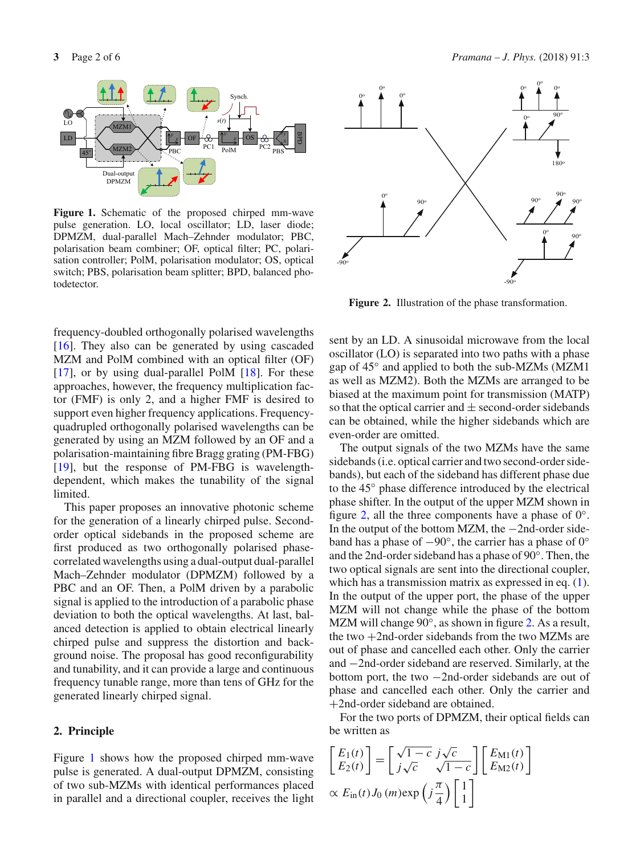

<span id="page-1-0"></span>**Figure 1.** Schematic of the proposed chirped mm-wave pulse generation. LO, local oscillator; LD, laser diode; DPMZM, dual-parallel Mach–Zehnder modulator; PBC, polarisation beam combiner; OF, optical filter; PC, polarisation controller; PolM, polarisation modulator; OS, optical switch; PBS, polarisation beam splitter; BPD, balanced photodetector.

frequency-doubled orthogonally polarised wavelengths [\[16](#page-5-14)]. They also can be generated by using cascaded MZM and PolM combined with an optical filter (OF) [\[17](#page-5-15)], or by using dual-parallel PolM  $[18]$  $[18]$ . For these approaches, however, the frequency multiplication factor (FMF) is only 2, and a higher FMF is desired to support even higher frequency applications. Frequencyquadrupled orthogonally polarised wavelengths can be generated by using an MZM followed by an OF and a polarisation-maintaining fibre Bragg grating (PM-FBG) [\[19](#page-5-12)], but the response of PM-FBG is wavelengthdependent, which makes the tunability of the signal limited.

This paper proposes an innovative photonic scheme for the generation of a linearly chirped pulse. Secondorder optical sidebands in the proposed scheme are first produced as two orthogonally polarised phasecorrelated wavelengths using a dual-output dual-parallel Mach–Zehnder modulator (DPMZM) followed by a PBC and an OF. Then, a PolM driven by a parabolic signal is applied to the introduction of a parabolic phase deviation to both the optical wavelengths. At last, balanced detection is applied to obtain electrical linearly chirped pulse and suppress the distortion and background noise. The proposal has good reconfigurability and tunability, and it can provide a large and continuous frequency tunable range, more than tens of GHz for the generated linearly chirped signal.

## **2. Principle**

Figure [1](#page-1-0) shows how the proposed chirped mm-wave pulse is generated. A dual-output DPMZM, consisting of two sub-MZMs with identical performances placed in parallel and a directional coupler, receives the light



<span id="page-1-1"></span>**Figure 2.** Illustration of the phase transformation.

sent by an LD. A sinusoidal microwave from the local oscillator (LO) is separated into two paths with a phase gap of 45◦ and applied to both the sub-MZMs (MZM1 as well as MZM2). Both the MZMs are arranged to be biased at the maximum point for transmission (MATP) so that the optical carrier and  $\pm$  second-order sidebands can be obtained, while the higher sidebands which are even-order are omitted.

The output signals of the two MZMs have the same sidebands (i.e. optical carrier and two second-order sidebands), but each of the sideband has different phase due to the 45◦ phase difference introduced by the electrical phase shifter. In the output of the upper MZM shown in figure [2,](#page-1-1) all the three components have a phase of  $0^\circ$ . In the output of the bottom MZM, the −2nd-order sideband has a phase of −90◦, the carrier has a phase of 0◦ and the 2nd-order sideband has a phase of 90◦. Then, the two optical signals are sent into the directional coupler, which has a transmission matrix as expressed in eq.  $(1)$ . In the output of the upper port, the phase of the upper MZM will not change while the phase of the bottom MZM will change 90°, as shown in figure [2.](#page-1-1) As a result, the two  $+2$ nd-order sidebands from the two MZMs are out of phase and cancelled each other. Only the carrier and −2nd-order sideband are reserved. Similarly, at the bottom port, the two −2nd-order sidebands are out of phase and cancelled each other. Only the carrier and +2nd-order sideband are obtained.

For the two ports of DPMZM, their optical fields can be written as

<span id="page-1-2"></span>
$$
\begin{bmatrix} E_1(t) \\ E_2(t) \end{bmatrix} = \begin{bmatrix} \sqrt{1-c} \ j\sqrt{c} \\ j\sqrt{c} \ \sqrt{1-c} \end{bmatrix} \begin{bmatrix} E_{\text{M1}}(t) \\ E_{\text{M2}}(t) \end{bmatrix}
$$
  
  $\propto E_{\text{in}}(t) J_0(m) \exp\left(j\frac{\pi}{4}\right) \begin{bmatrix} 1 \\ 1 \end{bmatrix}$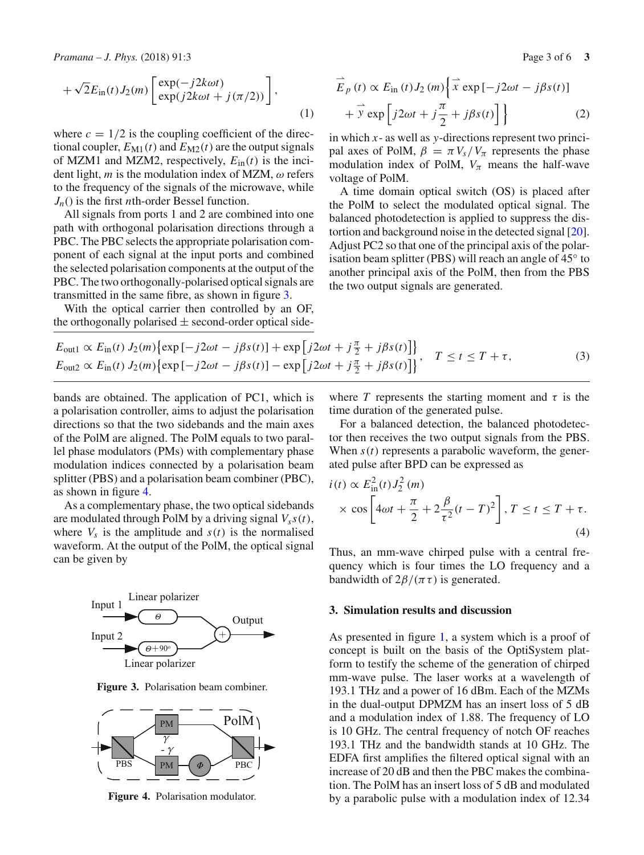*Pramana – J. Phys.* (2018) 91:3 Page 3 of 6 **3** 

$$
+\sqrt{2}E_{\rm in}(t)J_2(m)\begin{bmatrix} \exp(-j2k\omega t) \\ \exp(j2k\omega t + j(\pi/2)) \end{bmatrix},\tag{1}
$$

where  $c = 1/2$  is the coupling coefficient of the directional coupler,  $E_{\text{M1}}(t)$  and  $E_{\text{M2}}(t)$  are the output signals of MZM1 and MZM2, respectively,  $E_{\text{in}}(t)$  is the incident light,  $m$  is the modulation index of MZM,  $\omega$  refers to the frequency of the signals of the microwave, while *Jn*() is the first *n*th-order Bessel function.

All signals from ports 1 and 2 are combined into one path with orthogonal polarisation directions through a PBC. The PBC selects the appropriate polarisation component of each signal at the input ports and combined the selected polarisation components at the output of the PBC. The two orthogonally-polarised optical signals are transmitted in the same fibre, as shown in figure [3.](#page-2-0)

With the optical carrier then controlled by an OF, the orthogonally polarised  $\pm$  second-order optical side-

$$
\overrightarrow{E}_p(t) \propto E_{\text{in}}(t) J_2(m) \left\{ \overrightarrow{x} \exp[-j2\omega t - j\beta s(t)] + \overrightarrow{y} \exp\left[j2\omega t + j\frac{\pi}{2} + j\beta s(t)\right] \right\}
$$
(2)

in which *x*- as well as *y*-directions represent two principal axes of PolM,  $\beta = \pi V_s/V_{\pi}$  represents the phase modulation index of PolM,  $V_{\pi}$  means the half-wave voltage of PolM.

A time domain optical switch (OS) is placed after the PolM to select the modulated optical signal. The balanced photodetection is applied to suppress the distortion and background noise in the detected signal [\[20](#page-5-17)]. Adjust PC2 so that one of the principal axis of the polarisation beam splitter (PBS) will reach an angle of 45◦ to another principal axis of the PolM, then from the PBS the two output signals are generated.

$$
E_{\text{out1}} \propto E_{\text{in}}(t) J_2(m) \{ \exp[-j2\omega t - j\beta s(t)] + \exp[j2\omega t + j\frac{\pi}{2} + j\beta s(t)] \}, \quad T \le t \le T + \tau,
$$
  
\n
$$
E_{\text{out2}} \propto E_{\text{in}}(t) J_2(m) \{ \exp[-j2\omega t - j\beta s(t)] - \exp[j2\omega t + j\frac{\pi}{2} + j\beta s(t)] \}, \quad T \le t \le T + \tau,
$$
 (3)

bands are obtained. The application of PC1, which is a polarisation controller, aims to adjust the polarisation directions so that the two sidebands and the main axes of the PolM are aligned. The PolM equals to two parallel phase modulators (PMs) with complementary phase modulation indices connected by a polarisation beam splitter (PBS) and a polarisation beam combiner (PBC), as shown in figure [4.](#page-2-1)

As a complementary phase, the two optical sidebands are modulated through PolM by a driving signal  $V_s s(t)$ , where  $V_s$  is the amplitude and  $s(t)$  is the normalised waveform. At the output of the PolM, the optical signal can be given by



<span id="page-2-0"></span>**Figure 3.** Polarisation beam combiner.



<span id="page-2-1"></span>**Figure 4.** Polarisation modulator.

where *T* represents the starting moment and  $\tau$  is the time duration of the generated pulse.

For a balanced detection, the balanced photodetector then receives the two output signals from the PBS. When  $s(t)$  represents a parabolic waveform, the generated pulse after BPD can be expressed as

$$
i(t) \propto E_{\text{in}}^2(t) J_2^2(m)
$$
  
 
$$
\times \cos\left[4\omega t + \frac{\pi}{2} + 2\frac{\beta}{\tau^2}(t - T)^2\right], T \le t \le T + \tau.
$$
 (4)

Thus, an mm-wave chirped pulse with a central frequency which is four times the LO frequency and a bandwidth of  $2\beta/(\pi \tau)$  is generated.

#### **3. Simulation results and discussion**

As presented in figure [1,](#page-1-0) a system which is a proof of concept is built on the basis of the OptiSystem platform to testify the scheme of the generation of chirped mm-wave pulse. The laser works at a wavelength of 193.1 THz and a power of 16 dBm. Each of the MZMs in the dual-output DPMZM has an insert loss of 5 dB and a modulation index of 1.88. The frequency of LO is 10 GHz. The central frequency of notch OF reaches 193.1 THz and the bandwidth stands at 10 GHz. The EDFA first amplifies the filtered optical signal with an increase of 20 dB and then the PBC makes the combination. The PolM has an insert loss of 5 dB and modulated by a parabolic pulse with a modulation index of 12.34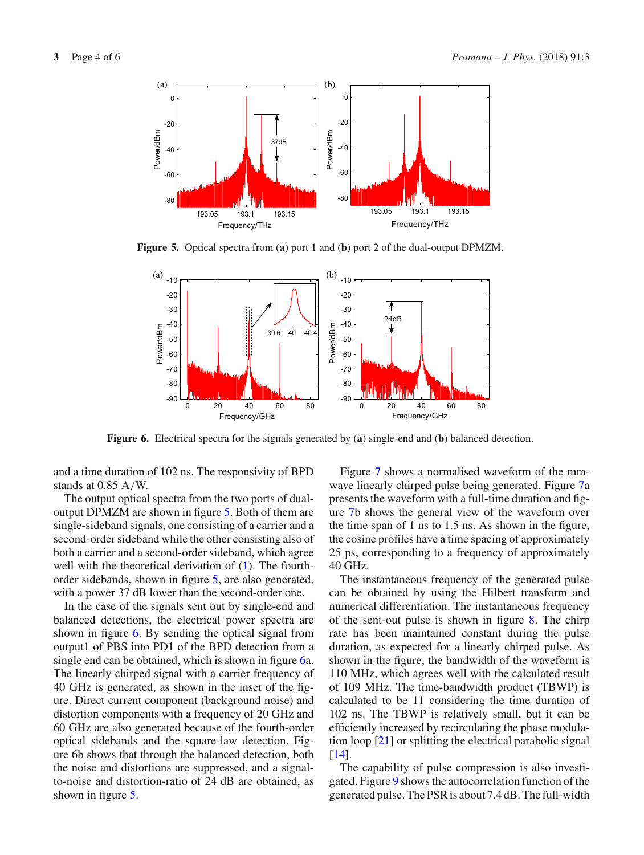

**Figure 5.** Optical spectra from (**a**) port 1 and (**b**) port 2 of the dual-output DPMZM.

<span id="page-3-0"></span>

<span id="page-3-1"></span>**Figure 6.** Electrical spectra for the signals generated by (**a**) single-end and (**b**) balanced detection.

and a time duration of 102 ns. The responsivity of BPD stands at 0.85 A/W.

The output optical spectra from the two ports of dualoutput DPMZM are shown in figure [5.](#page-3-0) Both of them are single-sideband signals, one consisting of a carrier and a second-order sideband while the other consisting also of both a carrier and a second-order sideband, which agree well with the theoretical derivation of  $(1)$ . The fourthorder sidebands, shown in figure [5,](#page-3-0) are also generated, with a power 37 dB lower than the second-order one.

In the case of the signals sent out by single-end and balanced detections, the electrical power spectra are shown in figure [6.](#page-3-1) By sending the optical signal from output1 of PBS into PD1 of the BPD detection from a single end can be obtained, which is shown in figure [6a](#page-3-1). The linearly chirped signal with a carrier frequency of 40 GHz is generated, as shown in the inset of the figure. Direct current component (background noise) and distortion components with a frequency of 20 GHz and 60 GHz are also generated because of the fourth-order optical sidebands and the square-law detection. Figure 6b shows that through the balanced detection, both the noise and distortions are suppressed, and a signalto-noise and distortion-ratio of 24 dB are obtained, as shown in figure [5.](#page-3-0)

Figure [7](#page-4-0) shows a normalised waveform of the mmwave linearly chirped pulse being generated. Figure [7a](#page-4-0) presents the waveform with a full-time duration and figure [7b](#page-4-0) shows the general view of the waveform over the time span of 1 ns to 1.5 ns. As shown in the figure, the cosine profiles have a time spacing of approximately 25 ps, corresponding to a frequency of approximately 40 GHz.

The instantaneous frequency of the generated pulse can be obtained by using the Hilbert transform and numerical differentiation. The instantaneous frequency of the sent-out pulse is shown in figure [8.](#page-4-1) The chirp rate has been maintained constant during the pulse duration, as expected for a linearly chirped pulse. As shown in the figure, the bandwidth of the waveform is 110 MHz, which agrees well with the calculated result of 109 MHz. The time-bandwidth product (TBWP) is calculated to be 11 considering the time duration of 102 ns. The TBWP is relatively small, but it can be efficiently increased by recirculating the phase modulation loop [\[21\]](#page-5-18) or splitting the electrical parabolic signal  $[14]$  $[14]$ .

The capability of pulse compression is also investigated. Figure [9](#page-4-2) shows the autocorrelation function of the generated pulse. The PSR is about 7.4 dB. The full-width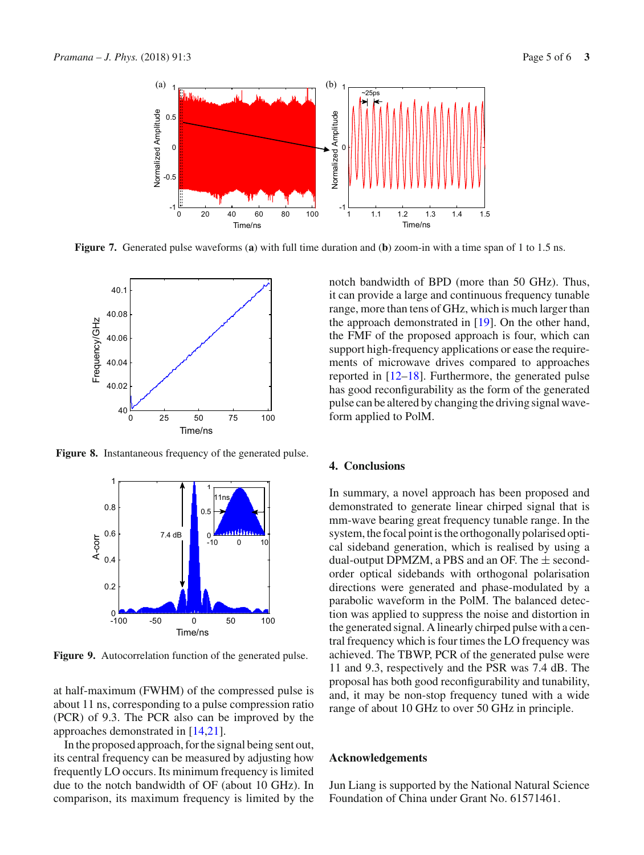

**Figure 7.** Generated pulse waveforms (**a**) with full time duration and (**b**) zoom-in with a time span of 1 to 1.5 ns.

<span id="page-4-0"></span>

**Figure 8.** Instantaneous frequency of the generated pulse.

<span id="page-4-1"></span>

<span id="page-4-2"></span>Figure 9. Autocorrelation function of the generated pulse.

at half-maximum (FWHM) of the compressed pulse is about 11 ns, corresponding to a pulse compression ratio (PCR) of 9.3. The PCR also can be improved by the approaches demonstrated in [\[14](#page-5-19)[,21\]](#page-5-18).

In the proposed approach, for the signal being sent out, its central frequency can be measured by adjusting how frequently LO occurs. Its minimum frequency is limited due to the notch bandwidth of OF (about 10 GHz). In comparison, its maximum frequency is limited by the notch bandwidth of BPD (more than 50 GHz). Thus, it can provide a large and continuous frequency tunable range, more than tens of GHz, which is much larger than the approach demonstrated in [\[19](#page-5-12)]. On the other hand, the FMF of the proposed approach is four, which can support high-frequency applications or ease the requirements of microwave drives compared to approaches reported in [\[12](#page-5-11)[–18\]](#page-5-16). Furthermore, the generated pulse has good reconfigurability as the form of the generated pulse can be altered by changing the driving signal waveform applied to PolM.

## **4. Conclusions**

In summary, a novel approach has been proposed and demonstrated to generate linear chirped signal that is mm-wave bearing great frequency tunable range. In the system, the focal point is the orthogonally polarised optical sideband generation, which is realised by using a dual-output DPMZM, a PBS and an OF. The  $\pm$  secondorder optical sidebands with orthogonal polarisation directions were generated and phase-modulated by a parabolic waveform in the PolM. The balanced detection was applied to suppress the noise and distortion in the generated signal. A linearly chirped pulse with a central frequency which is four times the LO frequency was achieved. The TBWP, PCR of the generated pulse were 11 and 9.3, respectively and the PSR was 7.4 dB. The proposal has both good reconfigurability and tunability, and, it may be non-stop frequency tuned with a wide range of about 10 GHz to over 50 GHz in principle.

#### **Acknowledgements**

Jun Liang is supported by the National Natural Science Foundation of China under Grant No. 61571461.